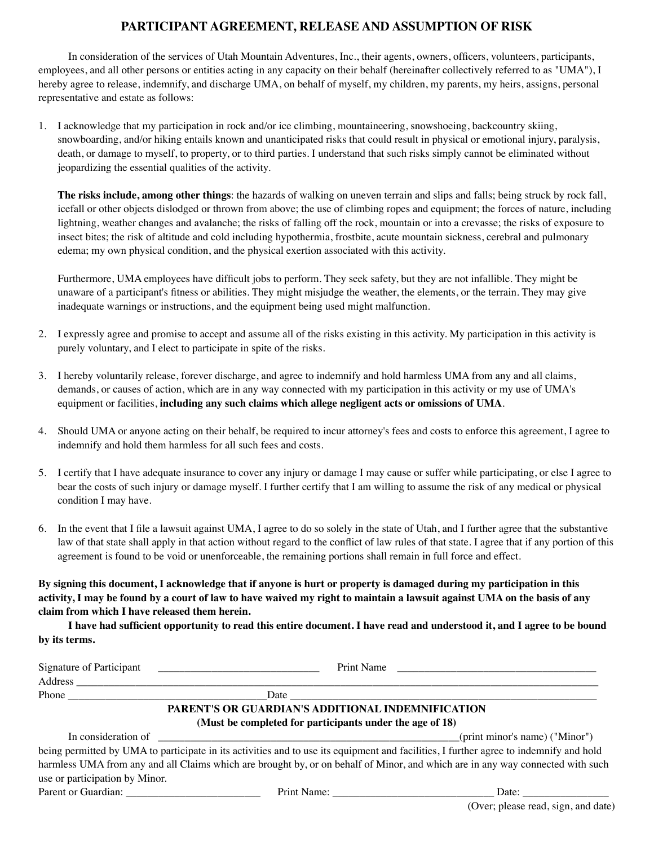## **PARTICIPANT AGREEMENT, RELEASE AND ASSUMPTION OF RISK**

In consideration of the services of Utah Mountain Adventures, Inc., their agents, owners, officers, volunteers, participants, employees, and all other persons or entities acting in any capacity on their behalf (hereinafter collectively referred to as "UMA"), I hereby agree to release, indemnify, and discharge UMA, on behalf of myself, my children, my parents, my heirs, assigns, personal representative and estate as follows:

1. I acknowledge that my participation in rock and/or ice climbing, mountaineering, snowshoeing, backcountry skiing, snowboarding, and/or hiking entails known and unanticipated risks that could result in physical or emotional injury, paralysis, death, or damage to myself, to property, or to third parties. I understand that such risks simply cannot be eliminated without jeopardizing the essential qualities of the activity.

**The risks include, among other things**: the hazards of walking on uneven terrain and slips and falls; being struck by rock fall, icefall or other objects dislodged or thrown from above; the use of climbing ropes and equipment; the forces of nature, including lightning, weather changes and avalanche; the risks of falling off the rock, mountain or into a crevasse; the risks of exposure to insect bites; the risk of altitude and cold including hypothermia, frostbite, acute mountain sickness, cerebral and pulmonary edema; my own physical condition, and the physical exertion associated with this activity.

Furthermore, UMA employees have difficult jobs to perform. They seek safety, but they are not infallible. They might be unaware of a participant's fitness or abilities. They might misjudge the weather, the elements, or the terrain. They may give inadequate warnings or instructions, and the equipment being used might malfunction.

- 2. I expressly agree and promise to accept and assume all of the risks existing in this activity. My participation in this activity is purely voluntary, and I elect to participate in spite of the risks.
- 3. I hereby voluntarily release, forever discharge, and agree to indemnify and hold harmless UMA from any and all claims, demands, or causes of action, which are in any way connected with my participation in this activity or my use of UMA's equipment or facilities, **including any such claims which allege negligent acts or omissions of UMA**.
- 4. Should UMA or anyone acting on their behalf, be required to incur attorney's fees and costs to enforce this agreement, I agree to indemnify and hold them harmless for all such fees and costs.
- 5. I certify that I have adequate insurance to cover any injury or damage I may cause or suffer while participating, or else I agree to bear the costs of such injury or damage myself. I further certify that I am willing to assume the risk of any medical or physical condition I may have.
- 6. In the event that I file a lawsuit against UMA, I agree to do so solely in the state of Utah, and I further agree that the substantive law of that state shall apply in that action without regard to the conflict of law rules of that state. I agree that if any portion of this agreement is found to be void or unenforceable, the remaining portions shall remain in full force and effect.

**By signing this document, I acknowledge that if anyone is hurt or property is damaged during my participation in this activity, I may be found by a court of law to have waived my right to maintain a lawsuit against UMA on the basis of any claim from which I have released them herein.**

**I have had sufficient opportunity to read this entire document. I have read and understood it, and I agree to be bound by its terms.**

| Signature of Participant       | Print Name<br><u> 1989 - Andrea Andrew Maria (h. 1989).</u> | <u> 1980 - Jan Samuel Barbara, margaret e populari e populari e populari e populari e populari e populari e pop</u>                    |
|--------------------------------|-------------------------------------------------------------|----------------------------------------------------------------------------------------------------------------------------------------|
| <b>Address</b>                 |                                                             |                                                                                                                                        |
|                                |                                                             |                                                                                                                                        |
|                                | PARENT'S OR GUARDIAN'S ADDITIONAL INDEMNIFICATION           |                                                                                                                                        |
|                                | (Must be completed for participants under the age of 18)    |                                                                                                                                        |
|                                | In consideration of $\qquad \qquad$                         | (print minor's name) ("Minor")                                                                                                         |
|                                |                                                             | being permitted by UMA to participate in its activities and to use its equipment and facilities, I further agree to indemnify and hold |
|                                |                                                             | harmless UMA from any and all Claims which are brought by, or on behalf of Minor, and which are in any way connected with such         |
| use or participation by Minor. |                                                             |                                                                                                                                        |
| Parent or Guardian:            | Print Name:                                                 | Date:                                                                                                                                  |

(Over; please read, sign, and date)